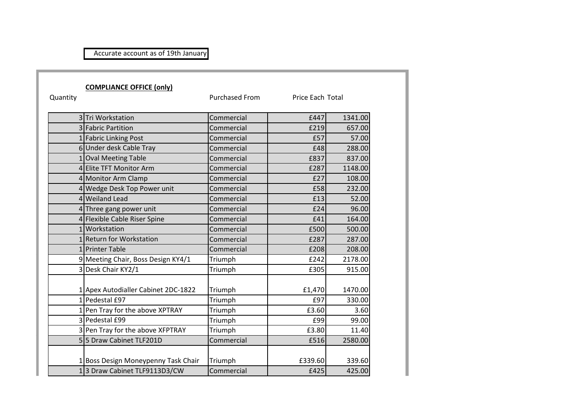| Quantity |                                     | <b>Purchased From</b> | Price Each Total |         |
|----------|-------------------------------------|-----------------------|------------------|---------|
|          | 3 Tri Workstation                   | Commercial            | £447             | 1341.00 |
|          | 3 Fabric Partition                  | Commercial            | £219             | 657.00  |
|          | 1 Fabric Linking Post               | Commercial            | £57              | 57.00   |
|          | 6Under desk Cable Tray              | Commercial            | £48              | 288.00  |
|          | 1 Oval Meeting Table                | Commercial            | £837             | 837.00  |
|          | 4 Elite TFT Monitor Arm             | Commercial            | £287             | 1148.00 |
|          | 4 Monitor Arm Clamp                 | Commercial            | £27              | 108.00  |
|          | 4 Wedge Desk Top Power unit         | Commercial            | £58              | 232.00  |
|          | 4 Weiland Lead                      | Commercial            | £13              | 52.00   |
|          | 4 Three gang power unit             | Commercial            | £24              | 96.00   |
|          | 4 Flexible Cable Riser Spine        | Commercial            | £41              | 164.00  |
| 1        | <b>Workstation</b>                  | Commercial            | £500             | 500.00  |
|          | 1 Return for Workstation            | Commercial            | £287             | 287.00  |
|          | 1 Printer Table                     | Commercial            | £208             | 208.00  |
|          | 9 Meeting Chair, Boss Design KY4/1  | Triumph               | £242             | 2178.00 |
|          | 3 Desk Chair KY2/1                  | Triumph               | £305             | 915.00  |
|          | 1 Apex Autodialler Cabinet 2DC-1822 | Triumph               | £1,470           | 1470.00 |
|          | 1 Pedestal £97                      | Triumph               | £97              | 330.00  |
|          | 1 Pen Tray for the above XPTRAY     | Triumph               | £3.60            | 3.60    |
|          | 3 Pedestal £99                      | Triumph               | £99              | 99.00   |
|          | 3 Pen Tray for the above XFPTRAY    | Triumph               | £3.80            | 11.40   |
|          | 55 Draw Cabinet TLF201D             | Commercial            | £516             | 2580.00 |
|          | 1 Boss Design Moneypenny Task Chair | Triumph               | £339.60          | 339.60  |
|          |                                     |                       |                  |         |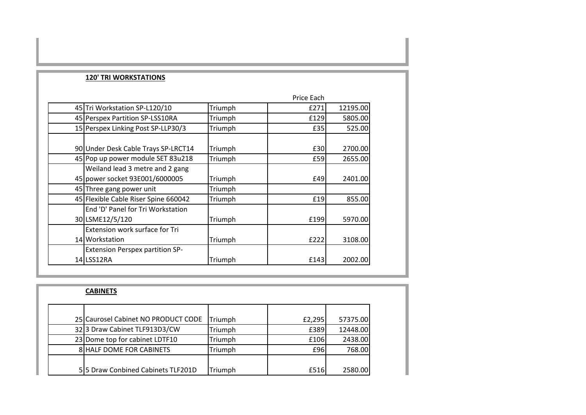|            | 45 Tri Workstation SP-L120/10<br>45 Perspex Partition SP-LSS10RA<br>15 Perspex Linking Post SP-LLP30/3<br>90 Under Desk Cable Trays SP-LRCT14<br>45 Pop up power module SET 83u218 | Triumph<br>Triumph<br>Triumph<br>Triumph | Price Each<br>£271<br>£129<br>£35<br>£30 | 12195.00<br>5805.00<br>525.00 |
|------------|------------------------------------------------------------------------------------------------------------------------------------------------------------------------------------|------------------------------------------|------------------------------------------|-------------------------------|
|            |                                                                                                                                                                                    |                                          |                                          |                               |
|            |                                                                                                                                                                                    |                                          |                                          |                               |
|            |                                                                                                                                                                                    |                                          |                                          |                               |
|            |                                                                                                                                                                                    |                                          |                                          |                               |
|            |                                                                                                                                                                                    |                                          |                                          | 2700.00                       |
|            |                                                                                                                                                                                    | Triumph                                  | £59                                      | 2655.00                       |
|            | Weiland lead 3 metre and 2 gang<br>45 power socket 93E001/6000005                                                                                                                  | Triumph                                  | £49                                      | 2401.00                       |
|            | 45 Three gang power unit                                                                                                                                                           | Triumph                                  |                                          |                               |
|            | 45 Flexible Cable Riser Spine 660042                                                                                                                                               | Triumph                                  | £19                                      | 855.00                        |
|            | End 'D' Panel for Tri Workstation<br>30 LSME12/5/120                                                                                                                               | Triumph                                  | £199                                     | 5970.00                       |
|            | Extension work surface for Tri                                                                                                                                                     |                                          |                                          |                               |
|            | 14 Workstation                                                                                                                                                                     | Triumph                                  | £222                                     | 3108.00                       |
| 14 LSS12RA | <b>Extension Perspex partition SP-</b>                                                                                                                                             | Triumph                                  | £143                                     | 2002.00                       |

|  | <b>CABINETS</b>                     |         |        |          |
|--|-------------------------------------|---------|--------|----------|
|  | 25 Caurosel Cabinet NO PRODUCT CODE | Triumph | £2,295 | 57375.00 |
|  | 323 Draw Cabinet TLF913D3/CW        | Triumph | £389   | 12448.00 |
|  | 23 Dome top for cabinet LDTF10      | Triumph | £106   | 2438.00  |
|  | 8 HALF DOME FOR CABINETS            | Triumph | £96    | 768.00   |
|  | 5 5 Draw Conbined Cabinets TLF201D  | Triumph | £516   | 2580.00  |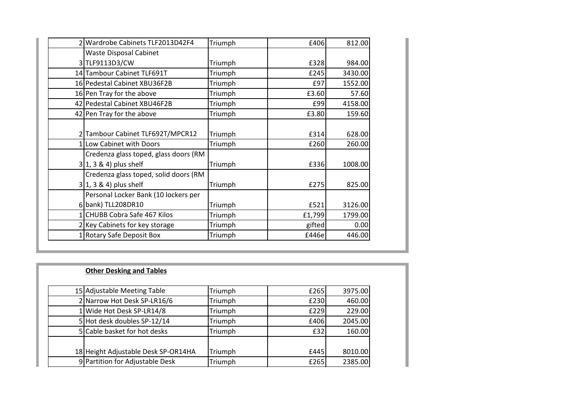| 2 Wardrobe Cabinets TLF2013D42F4                                    | Triumph | £406   | 812.00  |
|---------------------------------------------------------------------|---------|--------|---------|
| Waste Disposal Cabinet                                              |         |        |         |
| 3TLF9113D3/CW                                                       | Triumph | £328   | 984.00  |
| 14 Tambour Cabinet TLF691T                                          | Triumph | £245   | 3430.00 |
| 16 Pedestal Cabinet XBU36F2B                                        | Triumph | £97    | 1552.00 |
| 16 Pen Tray for the above                                           | Triumph | £3.60  | 57.60   |
| 42 Pedestal Cabinet XBU46F2B                                        | Triumph | £99    | 4158.00 |
| 42 Pen Tray for the above                                           | Triumph | £3.80  | 159.60  |
| 2 Tambour Cabinet TLF692T/MPCR12                                    | Triumph | £314   | 628.00  |
| 1 Low Cabinet with Doors                                            | Triumph | £260   | 260.00  |
| Credenza glass toped, glass doors (RM<br>$3 1, 3 \& 4$ ) plus shelf | Triumph | £336   | 1008.00 |
| Credenza glass toped, solid doors (RM<br>$3 1, 3 \& 4$ ) plus shelf | Triumph | £275   | 825.00  |
| Personal Locker Bank (10 lockers per<br>6 bank) TLL208DR10          | Triumph | £521   | 3126.00 |
| 1 CHUBB Cobra Safe 467 Kilos                                        | Triumph | £1,799 | 1799.00 |
| 2 Key Cabinets for key storage                                      | Triumph | gifted | 0.00    |
| 1 Rotary Safe Deposit Box                                           | Triumph | £446e  | 446.00  |

| <b>Other Desking and Tables</b>     |         |      |         |
|-------------------------------------|---------|------|---------|
| 15 Adjustable Meeting Table         | Triumph | £265 | 3975.00 |
| 2 Narrow Hot Desk SP-LR16/6         | Triumph | £230 | 460.00  |
| 1 Wide Hot Desk SP-LR14/8           | Triumph | £229 | 229.00  |
| 5 Hot desk doubles SP-12/14         | Triumph | £406 | 2045.00 |
| 5 Cable basket for hot desks        | Triumph | £32  | 160.00  |
|                                     |         |      |         |
| 18 Height Adjustable Desk SP-OR14HA | Triumph | £445 | 8010.00 |
| 9 Partition for Adjustable Desk     | Triumph | £265 | 2385.00 |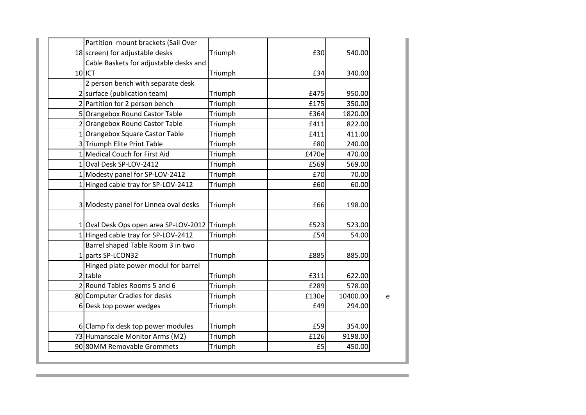| Partition mount brackets (Sail Over                    |         |       |          |
|--------------------------------------------------------|---------|-------|----------|
| 18 screen) for adjustable desks                        | Triumph | £30   | 540.00   |
| Cable Baskets for adjustable desks and                 |         |       |          |
| $10$  ICT                                              | Triumph | £34   | 340.00   |
| 2 person bench with separate desk                      |         |       |          |
| 2 surface (publication team)                           | Triumph | £475  | 950.00   |
| 2 Partition for 2 person bench                         | Triumph | £175  | 350.00   |
| 5 Orangebox Round Castor Table                         | Triumph | £364  | 1820.00  |
| 2 Orangebox Round Castor Table                         | Triumph | £411  | 822.00   |
| 1 Orangebox Square Castor Table                        | Triumph | £411  | 411.00   |
| 3 Triumph Elite Print Table                            | Triumph | £80   | 240.00   |
| 1 Medical Couch for First Aid                          | Triumph | £470e | 470.00   |
| 1 Oval Desk SP-LOV-2412                                | Triumph | £569  | 569.00   |
| 1 Modesty panel for SP-LOV-2412                        | Triumph | £70   | 70.00    |
| 1 Hinged cable tray for SP-LOV-2412                    | Triumph | £60   | 60.00    |
| 3 Modesty panel for Linnea oval desks                  | Triumph | £66   | 198.00   |
| 1 Oval Desk Ops open area SP-LOV-2012                  | Triumph | £523  | 523.00   |
| 1 Hinged cable tray for SP-LOV-2412                    | Triumph | £54   | 54.00    |
| Barrel shaped Table Room 3 in two<br>1 parts SP-LCON32 | Triumph | £885  | 885.00   |
| Hinged plate power modul for barrel                    |         |       |          |
| $2$ table                                              | Triumph | £311  | 622.00   |
| 2 Round Tables Rooms 5 and 6                           | Triumph | £289  | 578.00   |
| 80 Computer Cradles for desks                          | Triumph | £130e | 10400.00 |
| 6 Desk top power wedges                                | Triumph | £49   | 294.00   |
| 6 Clamp fix desk top power modules                     | Triumph | £59   | 354.00   |
| 73 Humanscale Monitor Arms (M2)                        | Triumph | £126  | 9198.00  |
| 90 80MM Removable Grommets                             | Triumph | £5    | 450.00   |

,我们也不会有什么。""我们的人,我们也不会有什么?""我们的人,我们也不会有什么?""我们的人,我们也不会有什么?""我们的人,我们也不会有什么?""我们的人